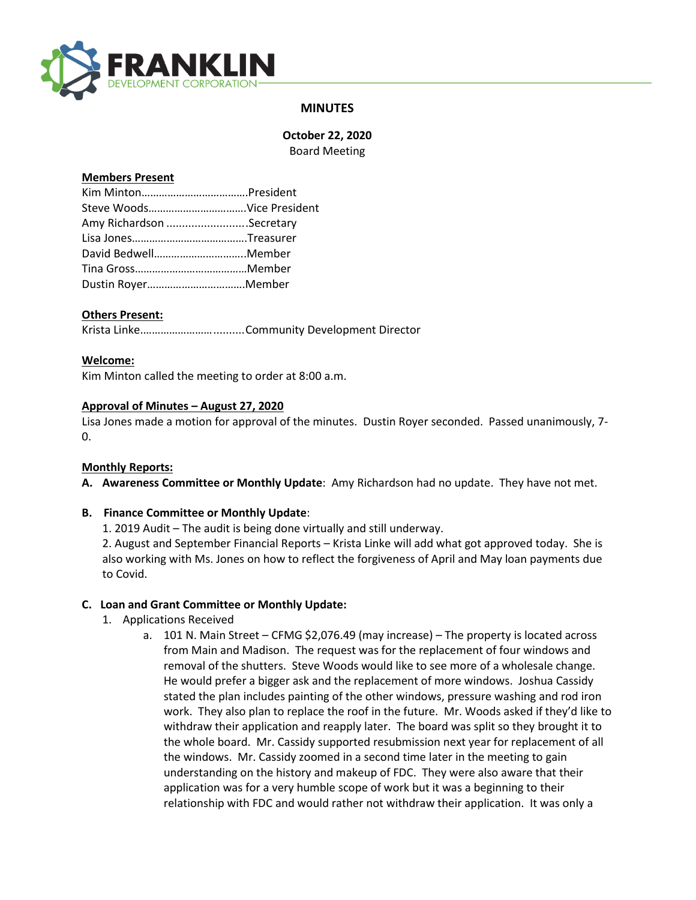

# **MINUTES**

**October 22, 2020** Board Meeting

#### **Members Present**

| Amy Richardson Secretary |  |
|--------------------------|--|
|                          |  |
| David BedwellMember      |  |
|                          |  |
|                          |  |

### **Others Present:**

Krista Linke.……………………..........Community Development Director

### **Welcome:**

Kim Minton called the meeting to order at 8:00 a.m.

### **Approval of Minutes – August 27, 2020**

Lisa Jones made a motion for approval of the minutes. Dustin Royer seconded. Passed unanimously, 7- 0.

#### **Monthly Reports:**

**A. Awareness Committee or Monthly Update**: Amy Richardson had no update. They have not met.

## **B. Finance Committee or Monthly Update**:

1. 2019 Audit – The audit is being done virtually and still underway.

2. August and September Financial Reports – Krista Linke will add what got approved today. She is also working with Ms. Jones on how to reflect the forgiveness of April and May loan payments due to Covid.

## **C. Loan and Grant Committee or Monthly Update:**

- 1. Applications Received
	- a. 101 N. Main Street CFMG \$2,076.49 (may increase) The property is located across from Main and Madison. The request was for the replacement of four windows and removal of the shutters. Steve Woods would like to see more of a wholesale change. He would prefer a bigger ask and the replacement of more windows. Joshua Cassidy stated the plan includes painting of the other windows, pressure washing and rod iron work. They also plan to replace the roof in the future. Mr. Woods asked if they'd like to withdraw their application and reapply later. The board was split so they brought it to the whole board. Mr. Cassidy supported resubmission next year for replacement of all the windows. Mr. Cassidy zoomed in a second time later in the meeting to gain understanding on the history and makeup of FDC. They were also aware that their application was for a very humble scope of work but it was a beginning to their relationship with FDC and would rather not withdraw their application. It was only a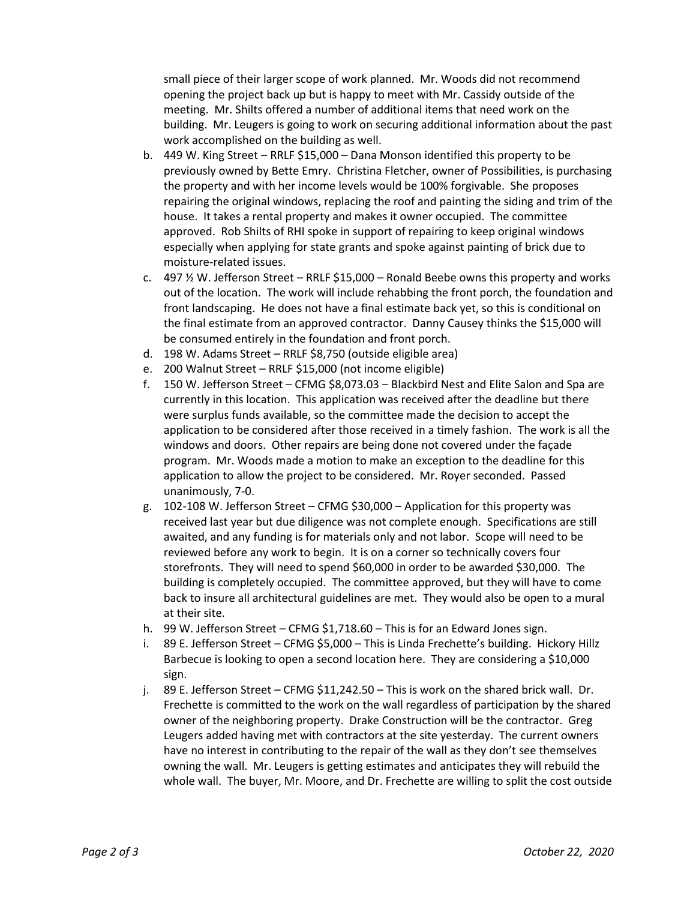small piece of their larger scope of work planned. Mr. Woods did not recommend opening the project back up but is happy to meet with Mr. Cassidy outside of the meeting. Mr. Shilts offered a number of additional items that need work on the building. Mr. Leugers is going to work on securing additional information about the past work accomplished on the building as well.

- b. 449 W. King Street RRLF \$15,000 Dana Monson identified this property to be previously owned by Bette Emry. Christina Fletcher, owner of Possibilities, is purchasing the property and with her income levels would be 100% forgivable. She proposes repairing the original windows, replacing the roof and painting the siding and trim of the house. It takes a rental property and makes it owner occupied. The committee approved. Rob Shilts of RHI spoke in support of repairing to keep original windows especially when applying for state grants and spoke against painting of brick due to moisture-related issues.
- c.  $497\%$  W. Jefferson Street RRLF \$15,000 Ronald Beebe owns this property and works out of the location. The work will include rehabbing the front porch, the foundation and front landscaping. He does not have a final estimate back yet, so this is conditional on the final estimate from an approved contractor. Danny Causey thinks the \$15,000 will be consumed entirely in the foundation and front porch.
- d. 198 W. Adams Street RRLF \$8,750 (outside eligible area)
- e. 200 Walnut Street RRLF \$15,000 (not income eligible)
- f. 150 W. Jefferson Street CFMG \$8,073.03 Blackbird Nest and Elite Salon and Spa are currently in this location. This application was received after the deadline but there were surplus funds available, so the committee made the decision to accept the application to be considered after those received in a timely fashion. The work is all the windows and doors. Other repairs are being done not covered under the façade program. Mr. Woods made a motion to make an exception to the deadline for this application to allow the project to be considered. Mr. Royer seconded. Passed unanimously, 7-0.
- g. 102-108 W. Jefferson Street CFMG \$30,000 Application for this property was received last year but due diligence was not complete enough. Specifications are still awaited, and any funding is for materials only and not labor. Scope will need to be reviewed before any work to begin. It is on a corner so technically covers four storefronts. They will need to spend \$60,000 in order to be awarded \$30,000. The building is completely occupied. The committee approved, but they will have to come back to insure all architectural guidelines are met. They would also be open to a mural at their site.
- h. 99 W. Jefferson Street CFMG \$1,718.60 This is for an Edward Jones sign.
- i. 89 E. Jefferson Street CFMG \$5,000 This is Linda Frechette's building. Hickory Hillz Barbecue is looking to open a second location here. They are considering a \$10,000 sign.
- j. 89 E. Jefferson Street CFMG \$11,242.50 This is work on the shared brick wall. Dr. Frechette is committed to the work on the wall regardless of participation by the shared owner of the neighboring property. Drake Construction will be the contractor. Greg Leugers added having met with contractors at the site yesterday. The current owners have no interest in contributing to the repair of the wall as they don't see themselves owning the wall. Mr. Leugers is getting estimates and anticipates they will rebuild the whole wall. The buyer, Mr. Moore, and Dr. Frechette are willing to split the cost outside